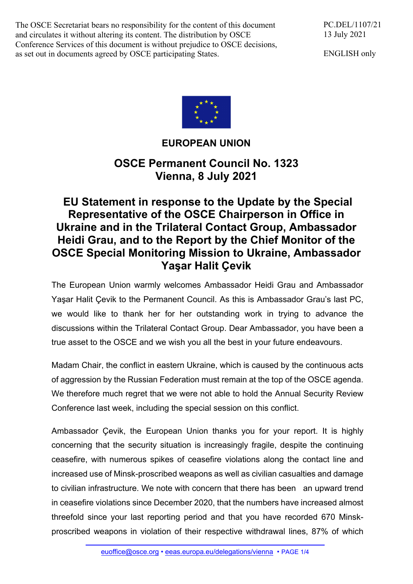The OSCE Secretariat bears no responsibility for the content of this document and circulates it without altering its content. The distribution by OSCE Conference Services of this document is without prejudice to OSCE decisions, as set out in documents agreed by OSCE participating States.

PC.DEL/1107/21 13 July 2021

ENGLISH only



## **EUROPEAN UNION**

**OSCE Permanent Council No. 1323 Vienna, 8 July 2021** 

## **EU Statement in response to the Update by the Special Representative of the OSCE Chairperson in Office in Ukraine and in the Trilateral Contact Group, Ambassador Heidi Grau, and to the Report by the Chief Monitor of the OSCE Special Monitoring Mission to Ukraine, Ambassador Yaşar Halit Çevik**

The European Union warmly welcomes Ambassador Heidi Grau and Ambassador Yaşar Halit Çevik to the Permanent Council. As this is Ambassador Grau's last PC, we would like to thank her for her outstanding work in trying to advance the discussions within the Trilateral Contact Group. Dear Ambassador, you have been a true asset to the OSCE and we wish you all the best in your future endeavours.

Madam Chair, the conflict in eastern Ukraine, which is caused by the continuous acts of aggression by the Russian Federation must remain at the top of the OSCE agenda. We therefore much regret that we were not able to hold the Annual Security Review Conference last week, including the special session on this conflict.

Ambassador Çevik, the European Union thanks you for your report. It is highly concerning that the security situation is increasingly fragile, despite the continuing ceasefire, with numerous spikes of ceasefire violations along the contact line and increased use of Minsk-proscribed weapons as well as civilian casualties and damage to civilian infrastructure. We note with concern that there has been an upward trend in ceasefire violations since December 2020, that the numbers have increased almost threefold since your last reporting period and that you have recorded 670 Minskproscribed weapons in violation of their respective withdrawal lines, 87% of which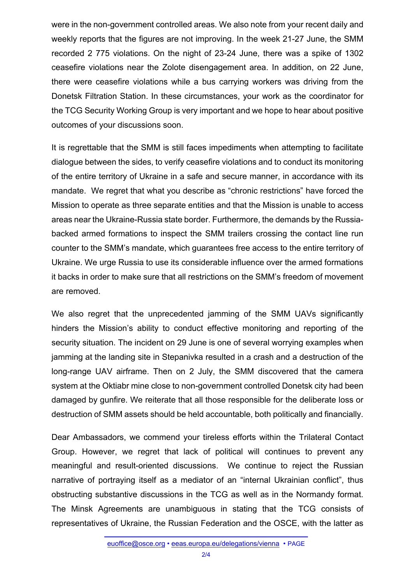were in the non-government controlled areas. We also note from your recent daily and weekly reports that the figures are not improving. In the week 21-27 June, the SMM recorded 2 775 violations. On the night of 23-24 June, there was a spike of 1302 ceasefire violations near the Zolote disengagement area. In addition, on 22 June, there were ceasefire violations while a bus carrying workers was driving from the Donetsk Filtration Station. In these circumstances, your work as the coordinator for the TCG Security Working Group is very important and we hope to hear about positive outcomes of your discussions soon.

It is regrettable that the SMM is still faces impediments when attempting to facilitate dialogue between the sides, to verify ceasefire violations and to conduct its monitoring of the entire territory of Ukraine in a safe and secure manner, in accordance with its mandate. We regret that what you describe as "chronic restrictions" have forced the Mission to operate as three separate entities and that the Mission is unable to access areas near the Ukraine-Russia state border. Furthermore, the demands by the Russiabacked armed formations to inspect the SMM trailers crossing the contact line run counter to the SMM's mandate, which guarantees free access to the entire territory of Ukraine. We urge Russia to use its considerable influence over the armed formations it backs in order to make sure that all restrictions on the SMM's freedom of movement are removed.

We also regret that the unprecedented jamming of the SMM UAVs significantly hinders the Mission's ability to conduct effective monitoring and reporting of the security situation. The incident on 29 June is one of several worrying examples when jamming at the landing site in Stepanivka resulted in a crash and a destruction of the long-range UAV airframe. Then on 2 July, the SMM discovered that the camera system at the Oktiabr mine close to non-government controlled Donetsk city had been damaged by gunfire. We reiterate that all those responsible for the deliberate loss or destruction of SMM assets should be held accountable, both politically and financially.

Dear Ambassadors, we commend your tireless efforts within the Trilateral Contact Group. However, we regret that lack of political will continues to prevent any meaningful and result-oriented discussions. We continue to reject the Russian narrative of portraying itself as a mediator of an "internal Ukrainian conflict", thus obstructing substantive discussions in the TCG as well as in the Normandy format. The Minsk Agreements are unambiguous in stating that the TCG consists of representatives of Ukraine, the Russian Federation and the OSCE, with the latter as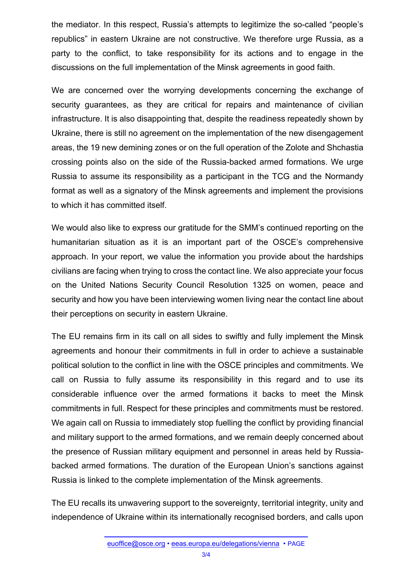the mediator. In this respect, Russia's attempts to legitimize the so-called "people's republics" in eastern Ukraine are not constructive. We therefore urge Russia, as a party to the conflict, to take responsibility for its actions and to engage in the discussions on the full implementation of the Minsk agreements in good faith.

We are concerned over the worrying developments concerning the exchange of security guarantees, as they are critical for repairs and maintenance of civilian infrastructure. It is also disappointing that, despite the readiness repeatedly shown by Ukraine, there is still no agreement on the implementation of the new disengagement areas, the 19 new demining zones or on the full operation of the Zolote and Shchastia crossing points also on the side of the Russia-backed armed formations. We urge Russia to assume its responsibility as a participant in the TCG and the Normandy format as well as a signatory of the Minsk agreements and implement the provisions to which it has committed itself.

We would also like to express our gratitude for the SMM's continued reporting on the humanitarian situation as it is an important part of the OSCE's comprehensive approach. In your report, we value the information you provide about the hardships civilians are facing when trying to cross the contact line. We also appreciate your focus on the United Nations Security Council Resolution 1325 on women, peace and security and how you have been interviewing women living near the contact line about their perceptions on security in eastern Ukraine.

The EU remains firm in its call on all sides to swiftly and fully implement the Minsk agreements and honour their commitments in full in order to achieve a sustainable political solution to the conflict in line with the OSCE principles and commitments. We call on Russia to fully assume its responsibility in this regard and to use its considerable influence over the armed formations it backs to meet the Minsk commitments in full. Respect for these principles and commitments must be restored. We again call on Russia to immediately stop fuelling the conflict by providing financial and military support to the armed formations, and we remain deeply concerned about the presence of Russian military equipment and personnel in areas held by Russiabacked armed formations. The duration of the European Union's sanctions against Russia is linked to the complete implementation of the Minsk agreements.

The EU recalls its unwavering support to the sovereignty, territorial integrity, unity and independence of Ukraine within its internationally recognised borders, and calls upon